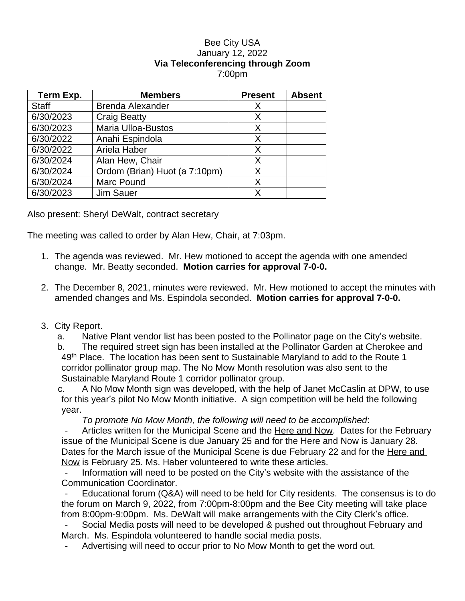## Bee City USA January 12, 2022 **Via Teleconferencing through Zoom** 7:00pm

| Term Exp.    | <b>Members</b>                | <b>Present</b> | <b>Absent</b> |
|--------------|-------------------------------|----------------|---------------|
| <b>Staff</b> | <b>Brenda Alexander</b>       | X              |               |
| 6/30/2023    | <b>Craig Beatty</b>           | X              |               |
| 6/30/2023    | <b>Maria Ulloa-Bustos</b>     | X              |               |
| 6/30/2022    | Anahi Espindola               | X              |               |
| 6/30/2022    | Ariela Haber                  | X              |               |
| 6/30/2024    | Alan Hew, Chair               | X              |               |
| 6/30/2024    | Ordom (Brian) Huot (a 7:10pm) | X              |               |
| 6/30/2024    | <b>Marc Pound</b>             | X              |               |
| 6/30/2023    | Jim Sauer                     |                |               |

Also present: Sheryl DeWalt, contract secretary

The meeting was called to order by Alan Hew, Chair, at 7:03pm.

- 1. The agenda was reviewed. Mr. Hew motioned to accept the agenda with one amended change. Mr. Beatty seconded. **Motion carries for approval 7-0-0.**
- 2. The December 8, 2021, minutes were reviewed. Mr. Hew motioned to accept the minutes with amended changes and Ms. Espindola seconded. **Motion carries for approval 7-0-0.**
- 3. City Report.

a. Native Plant vendor list has been posted to the Pollinator page on the City's website.

b. The required street sign has been installed at the Pollinator Garden at Cherokee and 49<sup>th</sup> Place. The location has been sent to Sustainable Maryland to add to the Route 1 corridor pollinator group map. The No Mow Month resolution was also sent to the Sustainable Maryland Route 1 corridor pollinator group.

c. A No Mow Month sign was developed, with the help of Janet McCaslin at DPW, to use for this year's pilot No Mow Month initiative. A sign competition will be held the following year.

*To promote No Mow Month, the following will need to be accomplished*:

Articles written for the Municipal Scene and the Here and Now. Dates for the February issue of the Municipal Scene is due January 25 and for the Here and Now is January 28. Dates for the March issue of the Municipal Scene is due February 22 and for the Here and Now is February 25. Ms. Haber volunteered to write these articles.

- Information will need to be posted on the City's website with the assistance of the Communication Coordinator.

Educational forum (Q&A) will need to be held for City residents. The consensus is to do the forum on March 9, 2022, from 7:00pm-8:00pm and the Bee City meeting will take place from 8:00pm-9:00pm. Ms. DeWalt will make arrangements with the City Clerk's office.

- Social Media posts will need to be developed & pushed out throughout February and March. Ms. Espindola volunteered to handle social media posts.

- Advertising will need to occur prior to No Mow Month to get the word out.